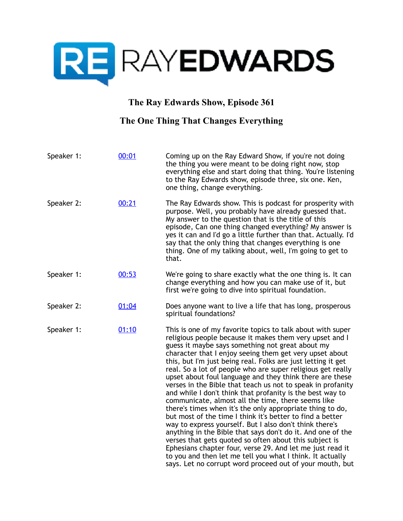

## **The Ray Edwards Show, Episode 361**

## **The One Thing That Changes Everything**

| Speaker 1: | 00:01 | Coming up on the Ray Edward Show, if you're not doing<br>the thing you were meant to be doing right now, stop<br>everything else and start doing that thing. You're listening<br>to the Ray Edwards show, episode three, six one. Ken,<br>one thing, change everything.                                                                                                                                                                                                                                                                                                                                                                                                                                                                                                                                                                                                                                                                                                                                                                                                                                               |
|------------|-------|-----------------------------------------------------------------------------------------------------------------------------------------------------------------------------------------------------------------------------------------------------------------------------------------------------------------------------------------------------------------------------------------------------------------------------------------------------------------------------------------------------------------------------------------------------------------------------------------------------------------------------------------------------------------------------------------------------------------------------------------------------------------------------------------------------------------------------------------------------------------------------------------------------------------------------------------------------------------------------------------------------------------------------------------------------------------------------------------------------------------------|
| Speaker 2: | 00:21 | The Ray Edwards show. This is podcast for prosperity with<br>purpose. Well, you probably have already guessed that.<br>My answer to the question that is the title of this<br>episode, Can one thing changed everything? My answer is<br>yes it can and I'd go a little further than that. Actually. I'd<br>say that the only thing that changes everything is one<br>thing. One of my talking about, well, I'm going to get to<br>that.                                                                                                                                                                                                                                                                                                                                                                                                                                                                                                                                                                                                                                                                              |
| Speaker 1: | 00:53 | We're going to share exactly what the one thing is. It can<br>change everything and how you can make use of it, but<br>first we're going to dive into spiritual foundation.                                                                                                                                                                                                                                                                                                                                                                                                                                                                                                                                                                                                                                                                                                                                                                                                                                                                                                                                           |
| Speaker 2: | 01:04 | Does anyone want to live a life that has long, prosperous<br>spiritual foundations?                                                                                                                                                                                                                                                                                                                                                                                                                                                                                                                                                                                                                                                                                                                                                                                                                                                                                                                                                                                                                                   |
| Speaker 1: | 01:10 | This is one of my favorite topics to talk about with super<br>religious people because it makes them very upset and I<br>guess it maybe says something not great about my<br>character that I enjoy seeing them get very upset about<br>this, but I'm just being real. Folks are just letting it get<br>real. So a lot of people who are super religious get really<br>upset about foul language and they think there are these<br>verses in the Bible that teach us not to speak in profanity<br>and while I don't think that profanity is the best way to<br>communicate, almost all the time, there seems like<br>there's times when it's the only appropriate thing to do,<br>but most of the time I think it's better to find a better<br>way to express yourself. But I also don't think there's<br>anything in the Bible that says don't do it. And one of the<br>verses that gets quoted so often about this subject is<br>Ephesians chapter four, verse 29. And let me just read it<br>to you and then let me tell you what I think. It actually<br>says. Let no corrupt word proceed out of your mouth, but |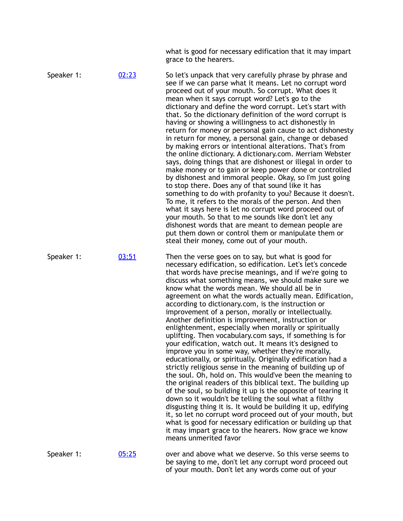what is good for necessary edification that it may impart grace to the hearers.

Speaker 1:  $02:23$  So let's unpack that very carefully phrase by phrase and see if we can parse what it means. Let no corrupt word proceed out of your mouth. So corrupt. What does it mean when it says corrupt word? Let's go to the dictionary and define the word corrupt. Let's start with that. So the dictionary definition of the word corrupt is having or showing a willingness to act dishonestly in return for money or personal gain cause to act dishonesty in return for money, a personal gain, change or debased by making errors or intentional alterations. That's from the online dictionary. A dictionary.com. Merriam Webster says, doing things that are dishonest or illegal in order to make money or to gain or keep power done or controlled by dishonest and immoral people. Okay, so I'm just going to stop there. Does any of that sound like it has something to do with profanity to you? Because it doesn't. To me, it refers to the morals of the person. And then what it says here is let no corrupt word proceed out of your mouth. So that to me sounds like don't let any dishonest words that are meant to demean people are put them down or control them or manipulate them or steal their money, come out of your mouth. Speaker 1: [03:51](https://www.temi.com/editor/t/nVfWres3dOOkoW4hre3I0X_jccarGkmpfcGYu5nd9KxXzzVqpaqtPSywsWYFf7wuZgoNxTqg67qDhKfNh3JAJL42emE?loadFrom=DocumentDeeplink&ts=231.98) Then the verse goes on to say, but what is good for necessary edification, so edification. Let's let's concede that words have precise meanings, and if we're going to discuss what something means, we should make sure we know what the words mean. We should all be in agreement on what the words actually mean. Edification, according to dictionary.com, is the instruction or improvement of a person, morally or intellectually. Another definition is improvement, instruction or enlightenment, especially when morally or spiritually uplifting. Then vocabulary.com says, if something is for your edification, watch out. It means it's designed to improve you in some way, whether they're morally, educationally, or spiritually. Originally edification had a strictly religious sense in the meaning of building up of the soul. Oh, hold on. This would've been the meaning to the original readers of this biblical text. The building up of the soul, so building it up is the opposite of tearing it down so it wouldn't be telling the soul what a filthy disgusting thing it is. It would be building it up, edifying it, so let no corrupt word proceed out of your mouth, but what is good for necessary edification or building up that it may impart grace to the hearers. Now grace we know means unmerited favor Speaker 1: [05:25](https://www.temi.com/editor/t/nVfWres3dOOkoW4hre3I0X_jccarGkmpfcGYu5nd9KxXzzVqpaqtPSywsWYFf7wuZgoNxTqg67qDhKfNh3JAJL42emE?loadFrom=DocumentDeeplink&ts=325.86) over and above what we deserve. So this verse seems to

be saying to me, don't let any corrupt word proceed out of your mouth. Don't let any words come out of your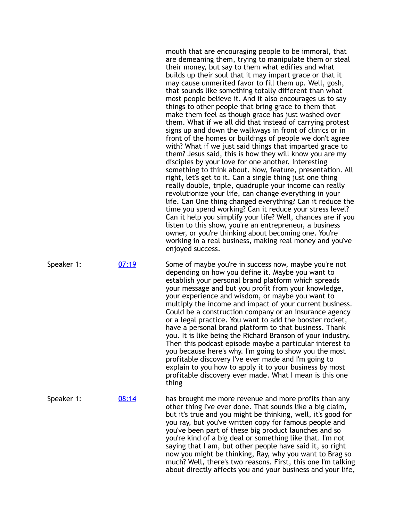mouth that are encouraging people to be immoral, that are demeaning them, trying to manipulate them or steal their money, but say to them what edifies and what builds up their soul that it may impart grace or that it may cause unmerited favor to fill them up. Well, gosh, that sounds like something totally different than what most people believe it. And it also encourages us to say things to other people that bring grace to them that make them feel as though grace has just washed over them. What if we all did that instead of carrying protest signs up and down the walkways in front of clinics or in front of the homes or buildings of people we don't agree with? What if we just said things that imparted grace to them? Jesus said, this is how they will know you are my disciples by your love for one another. Interesting something to think about. Now, feature, presentation. All right, let's get to it. Can a single thing just one thing really double, triple, quadruple your income can really revolutionize your life, can change everything in your life. Can One thing changed everything? Can it reduce the time you spend working? Can it reduce your stress level? Can it help you simplify your life? Well, chances are if you listen to this show, you're an entrepreneur, a business owner, or you're thinking about becoming one. You're working in a real business, making real money and you've enjoyed success.

Speaker 1: [07:19](https://www.temi.com/editor/t/nVfWres3dOOkoW4hre3I0X_jccarGkmpfcGYu5nd9KxXzzVqpaqtPSywsWYFf7wuZgoNxTqg67qDhKfNh3JAJL42emE?loadFrom=DocumentDeeplink&ts=439.84) Some of maybe you're in success now, maybe you're not depending on how you define it. Maybe you want to establish your personal brand platform which spreads your message and but you profit from your knowledge, your experience and wisdom, or maybe you want to multiply the income and impact of your current business. Could be a construction company or an insurance agency or a legal practice. You want to add the booster rocket, have a personal brand platform to that business. Thank you. It is like being the Richard Branson of your industry. Then this podcast episode maybe a particular interest to you because here's why. I'm going to show you the most profitable discovery I've ever made and I'm going to explain to you how to apply it to your business by most profitable discovery ever made. What I mean is this one thing

Speaker 1: [08:14](https://www.temi.com/editor/t/nVfWres3dOOkoW4hre3I0X_jccarGkmpfcGYu5nd9KxXzzVqpaqtPSywsWYFf7wuZgoNxTqg67qDhKfNh3JAJL42emE?loadFrom=DocumentDeeplink&ts=494.92) has brought me more revenue and more profits than any other thing I've ever done. That sounds like a big claim, but it's true and you might be thinking, well, it's good for you ray, but you've written copy for famous people and you've been part of these big product launches and so you're kind of a big deal or something like that. I'm not saying that I am, but other people have said it, so right now you might be thinking, Ray, why you want to Brag so much? Well, there's two reasons. First, this one I'm talking about directly affects you and your business and your life,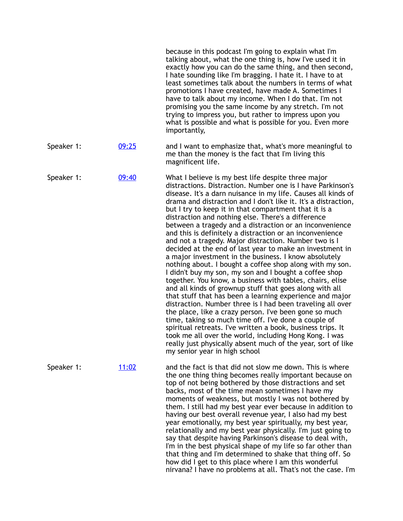|            |              | because in this podcast I'm going to explain what I'm<br>talking about, what the one thing is, how I've used it in<br>exactly how you can do the same thing, and then second,<br>I hate sounding like I'm bragging. I hate it. I have to at<br>least sometimes talk about the numbers in terms of what<br>promotions I have created, have made A. Sometimes I<br>have to talk about my income. When I do that. I'm not<br>promising you the same income by any stretch. I'm not<br>trying to impress you, but rather to impress upon you<br>what is possible and what is possible for you. Even more<br>importantly,                                                                                                                                                                                                                                                                                                                                                                                                                                                                                                                                                                                                                                                                                                                                                                         |
|------------|--------------|----------------------------------------------------------------------------------------------------------------------------------------------------------------------------------------------------------------------------------------------------------------------------------------------------------------------------------------------------------------------------------------------------------------------------------------------------------------------------------------------------------------------------------------------------------------------------------------------------------------------------------------------------------------------------------------------------------------------------------------------------------------------------------------------------------------------------------------------------------------------------------------------------------------------------------------------------------------------------------------------------------------------------------------------------------------------------------------------------------------------------------------------------------------------------------------------------------------------------------------------------------------------------------------------------------------------------------------------------------------------------------------------|
| Speaker 1: | 09:25        | and I want to emphasize that, what's more meaningful to<br>me than the money is the fact that I'm living this<br>magnificent life.                                                                                                                                                                                                                                                                                                                                                                                                                                                                                                                                                                                                                                                                                                                                                                                                                                                                                                                                                                                                                                                                                                                                                                                                                                                           |
| Speaker 1: | 09:40        | What I believe is my best life despite three major<br>distractions. Distraction. Number one is I have Parkinson's<br>disease. It's a darn nuisance in my life. Causes all kinds of<br>drama and distraction and I don't like it. It's a distraction,<br>but I try to keep it in that compartment that it is a<br>distraction and nothing else. There's a difference<br>between a tragedy and a distraction or an inconvenience<br>and this is definitely a distraction or an inconvenience<br>and not a tragedy. Major distraction. Number two is I<br>decided at the end of last year to make an investment in<br>a major investment in the business. I know absolutely<br>nothing about. I bought a coffee shop along with my son.<br>I didn't buy my son, my son and I bought a coffee shop<br>together. You know, a business with tables, chairs, elise<br>and all kinds of grownup stuff that goes along with all<br>that stuff that has been a learning experience and major<br>distraction. Number three is I had been traveling all over<br>the place, like a crazy person. I've been gone so much<br>time, taking so much time off. I've done a couple of<br>spiritual retreats. I've written a book, business trips. It<br>took me all over the world, including Hong Kong. I was<br>really just physically absent much of the year, sort of like<br>my senior year in high school |
| Speaker 1: | <u>11:02</u> | and the fact is that did not slow me down. This is where<br>the one thing thing becomes really important because on<br>top of not being bothered by those distractions and set<br>backs, most of the time mean sometimes I have my<br>moments of weakness, but mostly I was not bothered by<br>them. I still had my best year ever because in addition to<br>having our best overall revenue year, I also had my best<br>year emotionally, my best year spiritually, my best year,<br>relationally and my best year physically. I'm just going to<br>say that despite having Parkinson's disease to deal with,<br>I'm in the best physical shape of my life so far other than<br>that thing and I'm determined to shake that thing off. So<br>how did I get to this place where I am this wonderful<br>nirvana? I have no problems at all. That's not the case. I'm                                                                                                                                                                                                                                                                                                                                                                                                                                                                                                                          |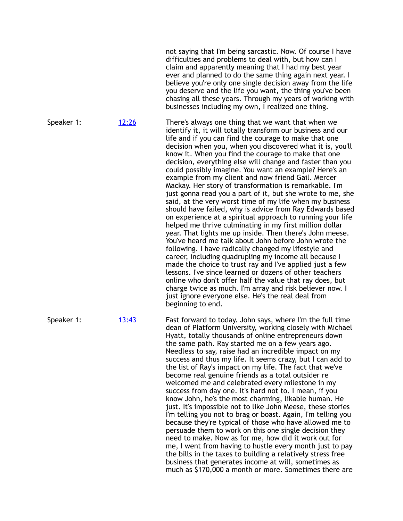not saying that I'm being sarcastic. Now. Of course I have difficulties and problems to deal with, but how can I claim and apparently meaning that I had my best year ever and planned to do the same thing again next year. I believe you're only one single decision away from the life you deserve and the life you want, the thing you've been chasing all these years. Through my years of working with businesses including my own, I realized one thing.

Speaker 1: [12:26](https://www.temi.com/editor/t/nVfWres3dOOkoW4hre3I0X_jccarGkmpfcGYu5nd9KxXzzVqpaqtPSywsWYFf7wuZgoNxTqg67qDhKfNh3JAJL42emE?loadFrom=DocumentDeeplink&ts=746.01) There's always one thing that we want that when we identify it, it will totally transform our business and our life and if you can find the courage to make that one decision when you, when you discovered what it is, you'll know it. When you find the courage to make that one decision, everything else will change and faster than you could possibly imagine. You want an example? Here's an example from my client and now friend Gail. Mercer Mackay. Her story of transformation is remarkable. I'm just gonna read you a part of it, but she wrote to me, she said, at the very worst time of my life when my business should have failed, why is advice from Ray Edwards based on experience at a spiritual approach to running your life helped me thrive culminating in my first million dollar year. That lights me up inside. Then there's John meese. You've heard me talk about John before John wrote the following. I have radically changed my lifestyle and career, including quadrupling my income all because I made the choice to trust ray and I've applied just a few lessons. I've since learned or dozens of other teachers online who don't offer half the value that ray does, but charge twice as much. I'm array and risk believer now. I just ignore everyone else. He's the real deal from

Speaker 1:  $13:43$  Fast forward to today. John says, where I'm the full time dean of Platform University, working closely with Michael Hyatt, totally thousands of online entrepreneurs down the same path. Ray started me on a few years ago. Needless to say, raise had an incredible impact on my success and thus my life. It seems crazy, but I can add to the list of Ray's impact on my life. The fact that we've become real genuine friends as a total outsider re welcomed me and celebrated every milestone in my success from day one. It's hard not to. I mean, if you know John, he's the most charming, likable human. He just. It's impossible not to like John Meese, these stories I'm telling you not to brag or boast. Again, I'm telling you because they're typical of those who have allowed me to persuade them to work on this one single decision they need to make. Now as for me, how did it work out for me, I went from having to hustle every month just to pay the bills in the taxes to building a relatively stress free business that generates income at will, sometimes as much as \$170,000 a month or more. Sometimes there are

beginning to end.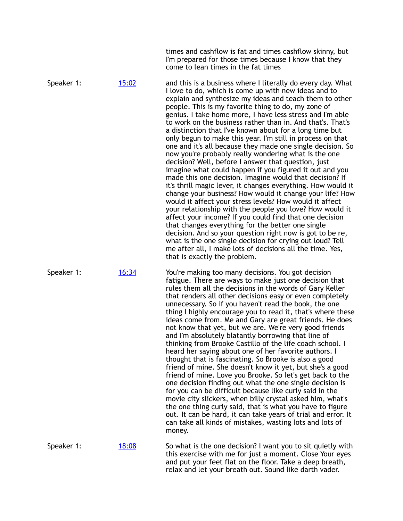|            |              | times and cashflow is fat and times cashflow skinny, but<br>I'm prepared for those times because I know that they<br>come to lean times in the fat times                                                                                                                                                                                                                                                                                                                                                                                                                                                                                                                                                                                                                                                                                                                                                                                                                                                                                                                                                                                                                                                                                                                                                                                                                               |
|------------|--------------|----------------------------------------------------------------------------------------------------------------------------------------------------------------------------------------------------------------------------------------------------------------------------------------------------------------------------------------------------------------------------------------------------------------------------------------------------------------------------------------------------------------------------------------------------------------------------------------------------------------------------------------------------------------------------------------------------------------------------------------------------------------------------------------------------------------------------------------------------------------------------------------------------------------------------------------------------------------------------------------------------------------------------------------------------------------------------------------------------------------------------------------------------------------------------------------------------------------------------------------------------------------------------------------------------------------------------------------------------------------------------------------|
| Speaker 1: | <u>15:02</u> | and this is a business where I literally do every day. What<br>I love to do, which is come up with new ideas and to<br>explain and synthesize my ideas and teach them to other<br>people. This is my favorite thing to do, my zone of<br>genius. I take home more, I have less stress and I'm able<br>to work on the business rather than in. And that's. That's<br>a distinction that I've known about for a long time but<br>only begun to make this year. I'm still in process on that<br>one and it's all because they made one single decision. So<br>now you're probably really wondering what is the one<br>decision? Well, before I answer that question, just<br>imagine what could happen if you figured it out and you<br>made this one decision. Imagine would that decision? If<br>it's thrill magic lever, it changes everything. How would it<br>change your business? How would it change your life? How<br>would it affect your stress levels? How would it affect<br>your relationship with the people you love? How would it<br>affect your income? If you could find that one decision<br>that changes everything for the better one single<br>decision. And so your question right now is got to be re,<br>what is the one single decision for crying out loud? Tell<br>me after all, I make lots of decisions all the time. Yes,<br>that is exactly the problem. |
| Speaker 1: | <u>16:34</u> | You're making too many decisions. You got decision<br>fatigue. There are ways to make just one decision that<br>rules them all the decisions in the words of Gary Keller<br>that renders all other decisions easy or even completely<br>unnecessary. So if you haven't read the book, the one<br>thing I highly encourage you to read it, that's where these<br>ideas come from. Me and Gary are great friends. He does<br>not know that yet, but we are. We're very good friends<br>and I'm absolutely blatantly borrowing that line of<br>thinking from Brooke Castillo of the life coach school. I<br>heard her saying about one of her favorite authors. I<br>thought that is fascinating. So Brooke is also a good<br>friend of mine. She doesn't know it yet, but she's a good<br>friend of mine. Love you Brooke. So let's get back to the<br>one decision finding out what the one single decision is<br>for you can be difficult because like curly said in the<br>movie city slickers, when billy crystal asked him, what's<br>the one thing curly said, that is what you have to figure<br>out. It can be hard, it can take years of trial and error. It<br>can take all kinds of mistakes, wasting lots and lots of<br>money.                                                                                                                                              |
| Speaker 1: | <u>18:08</u> | So what is the one decision? I want you to sit quietly with<br>this exercise with me for just a moment. Close Your eyes<br>and put your feet flat on the floor. Take a deep breath,<br>relax and let your breath out. Sound like darth vader.                                                                                                                                                                                                                                                                                                                                                                                                                                                                                                                                                                                                                                                                                                                                                                                                                                                                                                                                                                                                                                                                                                                                          |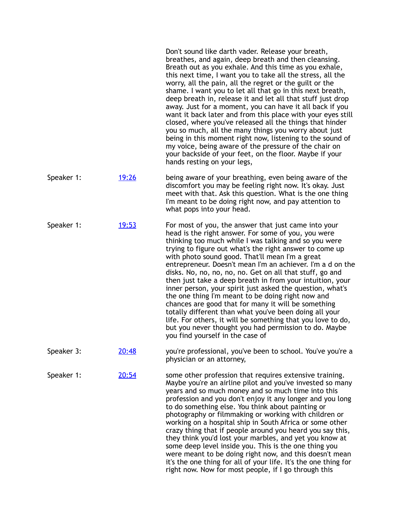|            |              | Don't sound like darth vader. Release your breath,<br>breathes, and again, deep breath and then cleansing.<br>Breath out as you exhale. And this time as you exhale,<br>this next time, I want you to take all the stress, all the<br>worry, all the pain, all the regret or the guilt or the<br>shame. I want you to let all that go in this next breath,<br>deep breath in, release it and let all that stuff just drop<br>away. Just for a moment, you can have it all back if you<br>want it back later and from this place with your eyes still<br>closed, where you've released all the things that hinder<br>you so much, all the many things you worry about just<br>being in this moment right now, listening to the sound of<br>my voice, being aware of the pressure of the chair on<br>your backside of your feet, on the floor. Maybe if your<br>hands resting on your legs, |
|------------|--------------|-------------------------------------------------------------------------------------------------------------------------------------------------------------------------------------------------------------------------------------------------------------------------------------------------------------------------------------------------------------------------------------------------------------------------------------------------------------------------------------------------------------------------------------------------------------------------------------------------------------------------------------------------------------------------------------------------------------------------------------------------------------------------------------------------------------------------------------------------------------------------------------------|
| Speaker 1: | <u>19:26</u> | being aware of your breathing, even being aware of the<br>discomfort you may be feeling right now. It's okay. Just<br>meet with that. Ask this question. What is the one thing<br>I'm meant to be doing right now, and pay attention to<br>what pops into your head.                                                                                                                                                                                                                                                                                                                                                                                                                                                                                                                                                                                                                      |
| Speaker 1: | <u>19:53</u> | For most of you, the answer that just came into your<br>head is the right answer. For some of you, you were<br>thinking too much while I was talking and so you were<br>trying to figure out what's the right answer to come up<br>with photo sound good. That'll mean I'm a great<br>entrepreneur. Doesn't mean I'm an achiever. I'm a d on the<br>disks. No, no, no, no, no. Get on all that stuff, go and<br>then just take a deep breath in from your intuition, your<br>inner person, your spirit just asked the question, what's<br>the one thing I'm meant to be doing right now and<br>chances are good that for many it will be something<br>totally different than what you've been doing all your<br>life. For others, it will be something that you love to do,<br>but you never thought you had permission to do. Maybe<br>you find yourself in the case of                  |
| Speaker 3: | 20:48        | you're professional, you've been to school. You've you're a<br>physician or an attorney,                                                                                                                                                                                                                                                                                                                                                                                                                                                                                                                                                                                                                                                                                                                                                                                                  |
| Speaker 1: | 20:54        | some other profession that requires extensive training.<br>Maybe you're an airline pilot and you've invested so many<br>years and so much money and so much time into this<br>profession and you don't enjoy it any longer and you long<br>to do something else. You think about painting or                                                                                                                                                                                                                                                                                                                                                                                                                                                                                                                                                                                              |

photography or filmmaking or working with children or working on a hospital ship in South Africa or some other crazy thing that if people around you heard you say this, they think you'd lost your marbles, and yet you know at some deep level inside you. This is the one thing you were meant to be doing right now, and this doesn't mean it's the one thing for all of your life. It's the one thing for right now. Now for most people, if I go through this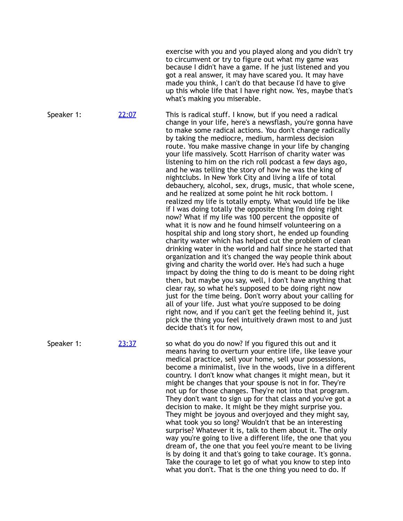exercise with you and you played along and you didn't try to circumvent or try to figure out what my game was because I didn't have a game. If he just listened and you got a real answer, it may have scared you. It may have made you think, I can't do that because I'd have to give up this whole life that I have right now. Yes, maybe that's what's making you miserable.

Speaker 1: [22:07](https://www.temi.com/editor/t/nVfWres3dOOkoW4hre3I0X_jccarGkmpfcGYu5nd9KxXzzVqpaqtPSywsWYFf7wuZgoNxTqg67qDhKfNh3JAJL42emE?loadFrom=DocumentDeeplink&ts=1327.75) This is radical stuff. I know, but if you need a radical change in your life, here's a newsflash, you're gonna have to make some radical actions. You don't change radically by taking the mediocre, medium, harmless decision route. You make massive change in your life by changing your life massively. Scott Harrison of charity water was listening to him on the rich roll podcast a few days ago, and he was telling the story of how he was the king of nightclubs. In New York City and living a life of total debauchery, alcohol, sex, drugs, music, that whole scene, and he realized at some point he hit rock bottom. I realized my life is totally empty. What would life be like if I was doing totally the opposite thing I'm doing right now? What if my life was 100 percent the opposite of what it is now and he found himself volunteering on a hospital ship and long story short, he ended up founding charity water which has helped cut the problem of clean drinking water in the world and half since he started that organization and it's changed the way people think about giving and charity the world over. He's had such a huge impact by doing the thing to do is meant to be doing right then, but maybe you say, well, I don't have anything that clear ray, so what he's supposed to be doing right now just for the time being. Don't worry about your calling for all of your life. Just what you're supposed to be doing right now, and if you can't get the feeling behind it, just pick the thing you feel intuitively drawn most to and just decide that's it for now,

Speaker 1: [23:37](https://www.temi.com/editor/t/nVfWres3dOOkoW4hre3I0X_jccarGkmpfcGYu5nd9KxXzzVqpaqtPSywsWYFf7wuZgoNxTqg67qDhKfNh3JAJL42emE?loadFrom=DocumentDeeplink&ts=1417.12) so what do you do now? If you figured this out and it means having to overturn your entire life, like leave your medical practice, sell your home, sell your possessions, become a minimalist, live in the woods, live in a different country. I don't know what changes it might mean, but it might be changes that your spouse is not in for. They're not up for those changes. They're not into that program. They don't want to sign up for that class and you've got a decision to make. It might be they might surprise you. They might be joyous and overjoyed and they might say, what took you so long? Wouldn't that be an interesting surprise? Whatever it is, talk to them about it. The only way you're going to live a different life, the one that you dream of, the one that you feel you're meant to be living is by doing it and that's going to take courage. It's gonna. Take the courage to let go of what you know to step into what you don't. That is the one thing you need to do. If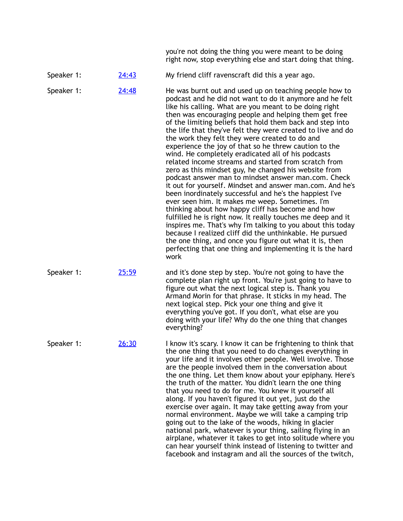you're not doing the thing you were meant to be doing right now, stop everything else and start doing that thing.

Speaker 1: [24:43](https://www.temi.com/editor/t/nVfWres3dOOkoW4hre3I0X_jccarGkmpfcGYu5nd9KxXzzVqpaqtPSywsWYFf7wuZgoNxTqg67qDhKfNh3JAJL42emE?loadFrom=DocumentDeeplink&ts=1483) My friend cliff ravenscraft did this a year ago.

Speaker 1: [24:48](https://www.temi.com/editor/t/nVfWres3dOOkoW4hre3I0X_jccarGkmpfcGYu5nd9KxXzzVqpaqtPSywsWYFf7wuZgoNxTqg67qDhKfNh3JAJL42emE?loadFrom=DocumentDeeplink&ts=1488.32) He was burnt out and used up on teaching people how to podcast and he did not want to do it anymore and he felt like his calling. What are you meant to be doing right then was encouraging people and helping them get free of the limiting beliefs that hold them back and step into the life that they've felt they were created to live and do the work they felt they were created to do and experience the joy of that so he threw caution to the wind. He completely eradicated all of his podcasts related income streams and started from scratch from zero as this mindset guy, he changed his website from podcast answer man to mindset answer man.com. Check it out for yourself. Mindset and answer man.com. And he's been inordinately successful and he's the happiest I've ever seen him. It makes me weep. Sometimes. I'm thinking about how happy cliff has become and how fulfilled he is right now. It really touches me deep and it inspires me. That's why I'm talking to you about this today because I realized cliff did the unthinkable. He pursued the one thing, and once you figure out what it is, then perfecting that one thing and implementing it is the hard work

Speaker 1: [25:59](https://www.temi.com/editor/t/nVfWres3dOOkoW4hre3I0X_jccarGkmpfcGYu5nd9KxXzzVqpaqtPSywsWYFf7wuZgoNxTqg67qDhKfNh3JAJL42emE?loadFrom=DocumentDeeplink&ts=1559.06) and it's done step by step. You're not going to have the complete plan right up front. You're just going to have to figure out what the next logical step is. Thank you Armand Morin for that phrase. It sticks in my head. The next logical step. Pick your one thing and give it everything you've got. If you don't, what else are you doing with your life? Why do the one thing that changes everything?

Speaker 1: [26:30](https://www.temi.com/editor/t/nVfWres3dOOkoW4hre3I0X_jccarGkmpfcGYu5nd9KxXzzVqpaqtPSywsWYFf7wuZgoNxTqg67qDhKfNh3JAJL42emE?loadFrom=DocumentDeeplink&ts=1590.7) I know it's scary. I know it can be frightening to think that the one thing that you need to do changes everything in your life and it involves other people. Well involve. Those are the people involved them in the conversation about the one thing. Let them know about your epiphany. Here's the truth of the matter. You didn't learn the one thing that you need to do for me. You knew it yourself all along. If you haven't figured it out yet, just do the exercise over again. It may take getting away from your normal environment. Maybe we will take a camping trip going out to the lake of the woods, hiking in glacier national park, whatever is your thing, sailing flying in an airplane, whatever it takes to get into solitude where you can hear yourself think instead of listening to twitter and facebook and instagram and all the sources of the twitch,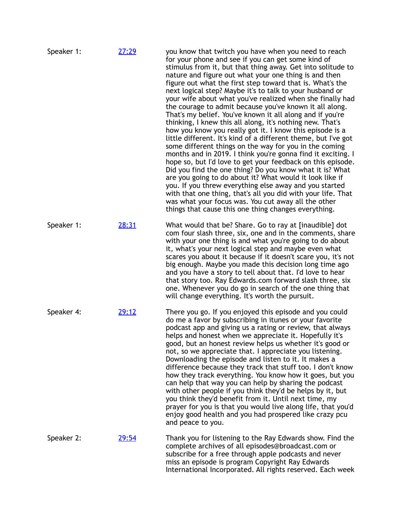| Speaker 1: | 27:29        | you know that twitch you have when you need to reach<br>for your phone and see if you can get some kind of<br>stimulus from it, but that thing away. Get into solitude to<br>nature and figure out what your one thing is and then<br>figure out what the first step toward that is. What's the<br>next logical step? Maybe it's to talk to your husband or<br>your wife about what you've realized when she finally had<br>the courage to admit because you've known it all along.<br>That's my belief. You've known it all along and if you're<br>thinking, I knew this all along, it's nothing new. That's<br>how you know you really got it. I know this episode is a<br>little different. It's kind of a different theme, but I've got<br>some different things on the way for you in the coming<br>months and in 2019. I think you're gonna find it exciting. I<br>hope so, but I'd love to get your feedback on this episode.<br>Did you find the one thing? Do you know what it is? What<br>are you going to do about it? What would it look like if<br>you. If you threw everything else away and you started<br>with that one thing, that's all you did with your life. That<br>was what your focus was. You cut away all the other<br>things that cause this one thing changes everything. |
|------------|--------------|-------------------------------------------------------------------------------------------------------------------------------------------------------------------------------------------------------------------------------------------------------------------------------------------------------------------------------------------------------------------------------------------------------------------------------------------------------------------------------------------------------------------------------------------------------------------------------------------------------------------------------------------------------------------------------------------------------------------------------------------------------------------------------------------------------------------------------------------------------------------------------------------------------------------------------------------------------------------------------------------------------------------------------------------------------------------------------------------------------------------------------------------------------------------------------------------------------------------------------------------------------------------------------------------------------|
| Speaker 1: | 28:31        | What would that be? Share. Go to ray at [inaudible] dot<br>com four slash three, six, one and in the comments, share<br>with your one thing is and what you're going to do about<br>it, what's your next logical step and maybe even what<br>scares you about it because if it doesn't scare you, it's not<br>big enough. Maybe you made this decision long time ago<br>and you have a story to tell about that. I'd love to hear<br>that story too. Ray Edwards.com forward slash three, six<br>one. Whenever you do go in search of the one thing that<br>will change everything. It's worth the pursuit.                                                                                                                                                                                                                                                                                                                                                                                                                                                                                                                                                                                                                                                                                           |
| Speaker 4: | 29:12        | There you go. If you enjoyed this episode and you could<br>do me a favor by subscribing in itunes or your favorite<br>podcast app and giving us a rating or review, that always<br>helps and honest when we appreciate it. Hopefully it's<br>good, but an honest review helps us whether it's good or<br>not, so we appreciate that. I appreciate you listening.<br>Downloading the episode and listen to it. It makes a<br>difference because they track that stuff too. I don't know<br>how they track everything. You know how it goes, but you<br>can help that way you can help by sharing the podcast<br>with other people if you think they'd be helps by it, but<br>you think they'd benefit from it. Until next time, my<br>prayer for you is that you would live along life, that you'd<br>enjoy good health and you had prospered like crazy pcu<br>and peace to you.                                                                                                                                                                                                                                                                                                                                                                                                                      |
| Speaker 2: | <u>29:54</u> | Thank you for listening to the Ray Edwards show. Find the<br>complete archives of all episodes@broadcast.com or<br>subscribe for a free through apple podcasts and never<br>miss an episode is program Copyright Ray Edwards<br>International Incorporated. All rights reserved. Each week                                                                                                                                                                                                                                                                                                                                                                                                                                                                                                                                                                                                                                                                                                                                                                                                                                                                                                                                                                                                            |